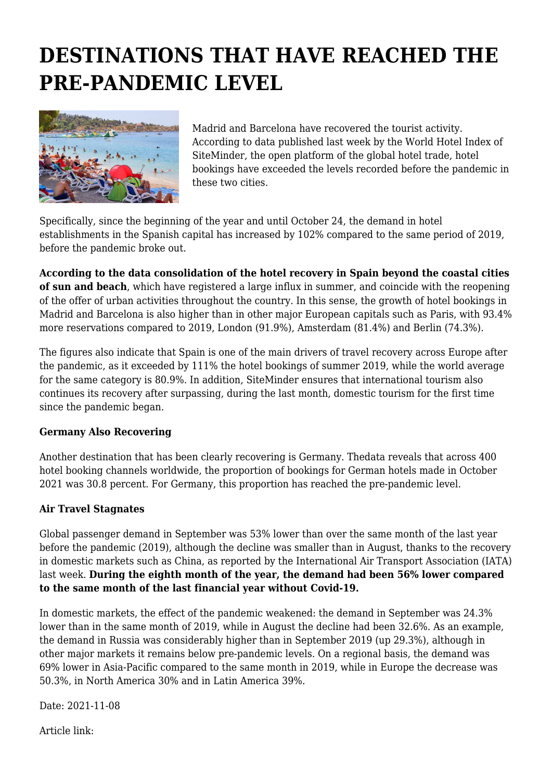## **DESTINATIONS THAT HAVE REACHED THE PRE-PANDEMIC LEVEL**



Madrid and Barcelona have recovered the tourist activity. According to data published last week by the World Hotel Index of SiteMinder, the open platform of the global hotel trade, hotel bookings have exceeded the levels recorded before the pandemic in these two cities.

Specifically, since the beginning of the year and until October 24, the demand in hotel establishments in the Spanish capital has increased by 102% compared to the same period of 2019, before the pandemic broke out.

**According to the data consolidation of the hotel recovery in Spain beyond the coastal cities of sun and beach**, which have registered a large influx in summer, and coincide with the reopening of the offer of urban activities throughout the country. In this sense, the growth of hotel bookings in Madrid and Barcelona is also higher than in other major European capitals such as Paris, with 93.4% more reservations compared to 2019, London (91.9%), Amsterdam (81.4%) and Berlin (74.3%).

The figures also indicate that Spain is one of the main drivers of travel recovery across Europe after the pandemic, as it exceeded by 111% the hotel bookings of summer 2019, while the world average for the same category is 80.9%. In addition, SiteMinder ensures that international tourism also continues its recovery after surpassing, during the last month, domestic tourism for the first time since the pandemic began.

## **Germany Also Recovering**

Another destination that has been clearly recovering is Germany. Thedata reveals that across 400 hotel booking channels worldwide, the proportion of bookings for German hotels made in October 2021 was 30.8 percent. For Germany, this proportion has reached the pre-pandemic level.

## **Air Travel Stagnates**

Global passenger demand in September was 53% lower than over the same month of the last year before the pandemic (2019), although the decline was smaller than in August, thanks to the recovery in domestic markets such as China, as reported by the International Air Transport Association (IATA) last week. **During the eighth month of the year, the demand had been 56% lower compared to the same month of the last financial year without Covid-19.**

In domestic markets, the effect of the pandemic weakened: the demand in September was 24.3% lower than in the same month of 2019, while in August the decline had been 32.6%. As an example, the demand in Russia was considerably higher than in September 2019 (up 29.3%), although in other major markets it remains below pre-pandemic levels. On a regional basis, the demand was 69% lower in Asia-Pacific compared to the same month in 2019, while in Europe the decrease was 50.3%, in North America 30% and in Latin America 39%.

Date: 2021-11-08

Article link: